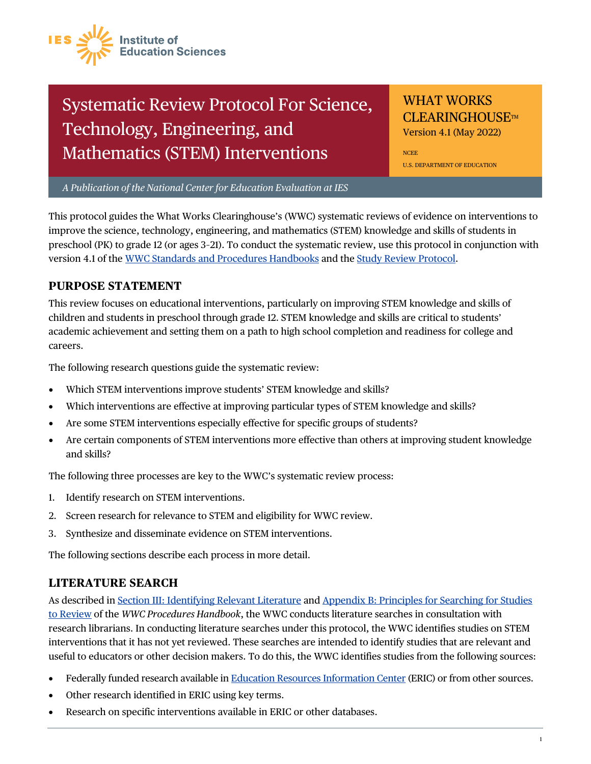

# Systematic Review Protocol For Science, Technology, Engineering, and Mathematics (STEM) Interventions

# WHAT WORKS **CLEARINGHOUSE**TM

Version 4.1 (May 2022)

NCEE U.S. DEPARTMENT OF EDUCATION

*A Publication of the National Center for Education Evaluation at IES*

This protocol guides the What Works Clearinghouse's (WWC) systematic reviews of evidence on interventions to improve the science, technology, engineering, and mathematics (STEM) knowledge and skills of students in preschool (PK) to grade 12 (or ages 3–21). To conduct the systematic review, use this protocol in conjunction with version 4.1 of th[e WWC Standards and Procedures Handbooks](https://ies.ed.gov/ncee/wwc/Handbooks) and the [Study Review Protocol.](https://ies.ed.gov/ncee/wwc/Document/1297)

#### **PURPOSE STATEMENT**

This review focuses on educational interventions, particularly on improving STEM knowledge and skills of children and students in preschool through grade 12. STEM knowledge and skills are critical to students' academic achievement and setting them on a path to high school completion and readiness for college and careers.

The following research questions guide the systematic review:

- Which STEM interventions improve students' STEM knowledge and skills?
- Which interventions are effective at improving particular types of STEM knowledge and skills?
- Are some STEM interventions especially effective for specific groups of students?
- Are certain components of STEM interventions more effective than others at improving student knowledge and skills?

The following three processes are key to the WWC's systematic review process:

- 1. Identify research on STEM interventions.
- 2. Screen research for relevance to STEM and eligibility for WWC review.
- 3. Synthesize and disseminate evidence on STEM interventions.

The following sections describe each process in more detail.

#### **LITERATURE SEARCH**

As described in [Section III: Identifying Relevant Literature](https://ies.ed.gov/ncee/wwc/Docs/referenceresources/WWC-Procedures-Handbook-v4-1-508.pdf#page=10) and [Appendix B: Principles for Searching for Studies](https://ies.ed.gov/ncee/wwc/Docs/referenceresources/WWC-Procedures-Handbook-v4-1-508.pdf#page=38)  [to Review](https://ies.ed.gov/ncee/wwc/Docs/referenceresources/WWC-Procedures-Handbook-v4-1-508.pdf#page=38) of the *WWC Procedures Handbook*, the WWC conducts literature searches in consultation with research librarians. In conducting literature searches under this protocol, the WWC identifies studies on STEM interventions that it has not yet reviewed. These searches are intended to identify studies that are relevant and useful to educators or other decision makers. To do this, the WWC identifies studies from the following sources:

- Federally funded research available i[n Education Resources Information Center \(](https://eric.ed.gov/?)ERIC) or from other sources.
- Other research identified in ERIC using key terms.
- Research on specific interventions available in ERIC or other databases.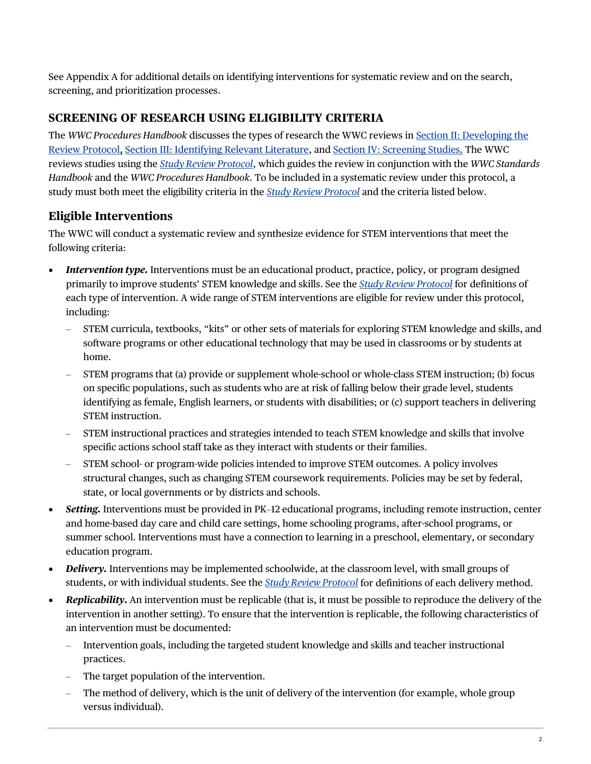See Appendix A for additional details on identifying interventions for systematic review and on the search, screening, and prioritization processes.

#### **SCREENING OF RESEARCH USING ELIGIBILITY CRITERIA**

The *WWC Procedures Handbook* discusses the types of research the WWC reviews in [Section II: Developing the](https://ies.ed.gov/ncee/wwc/Docs/referenceresources/WWC-Procedures-Handbook-v4-1-508.pdf#page=8)  [Review Protocol,](https://ies.ed.gov/ncee/wwc/Docs/referenceresources/WWC-Procedures-Handbook-v4-1-508.pdf#page=8) [Section III: Identifying Relevant Literature,](https://ies.ed.gov/ncee/wwc/Docs/referenceresources/WWC-Procedures-Handbook-v4-1-508.pdf#page=10) and [Section IV: Screening Studies.](https://ies.ed.gov/ncee/wwc/Docs/referenceresources/WWC-Procedures-Handbook-v4-1-508.pdf#page=11) The WWC reviews studies using the *[Study Review Protocol](https://ies.ed.gov/ncee/wwc/Document/1297)*, which guides the review in conjunction with the *WWC Standards Handbook* and the *WWC Procedures Handbook*. To be included in a systematic review under this protocol, a study must both meet the eligibility criteria in the *[Study Review Protocol](https://ies.ed.gov/ncee/wwc/Document/1297)* and the criteria listed below.

## **Eligible Interventions**

The WWC will conduct a systematic review and synthesize evidence for STEM interventions that meet the following criteria:

- *Intervention type*. Interventions must be an educational product, practice, policy, or program designed primarily to improve students' STEM knowledge and skills. See the *[Study Review Protocol](https://ies.ed.gov/ncee/wwc/Document/1297)* for definitions of each type of intervention. A wide range of STEM interventions are eligible for review under this protocol, including:
	- STEM curricula, textbooks, "kits" or other sets of materials for exploring STEM knowledge and skills, and software programs or other educational technology that may be used in classrooms or by students at home.
	- STEM programs that (a) provide or supplement whole-school or whole-class STEM instruction; (b) focus on specific populations, such as students who are at risk of falling below their grade level, students identifying as female, English learners, or students with disabilities; or (c) support teachers in delivering STEM instruction.
	- STEM instructional practices and strategies intended to teach STEM knowledge and skills that involve specific actions school staff take as they interact with students or their families.
	- STEM school- or program-wide policies intended to improve STEM outcomes. A policy involves structural changes, such as changing STEM coursework requirements. Policies may be set by federal, state, or local governments or by districts and schools.
- *Setting.* Interventions must be provided in PK–12 educational programs, including remote instruction, center and home-based day care and child care settings, home schooling programs, after-school programs, or summer school. Interventions must have a connection to learning in a preschool, elementary, or secondary education program.
- *Delivery*. Interventions may be implemented schoolwide, at the classroom level, with small groups of students, or with individual students. See the *[Study Review Protocol](https://ies.ed.gov/ncee/wwc/Document/1297)* for definitions of each delivery method.
- *Replicability***.** An intervention must be replicable (that is, it must be possible to reproduce the delivery of the intervention in another setting). To ensure that the intervention is replicable, the following characteristics of an intervention must be documented:
	- Intervention goals, including the targeted student knowledge and skills and teacher instructional practices.
	- The target population of the intervention.
	- The method of delivery, which is the unit of delivery of the intervention (for example, whole group versus individual).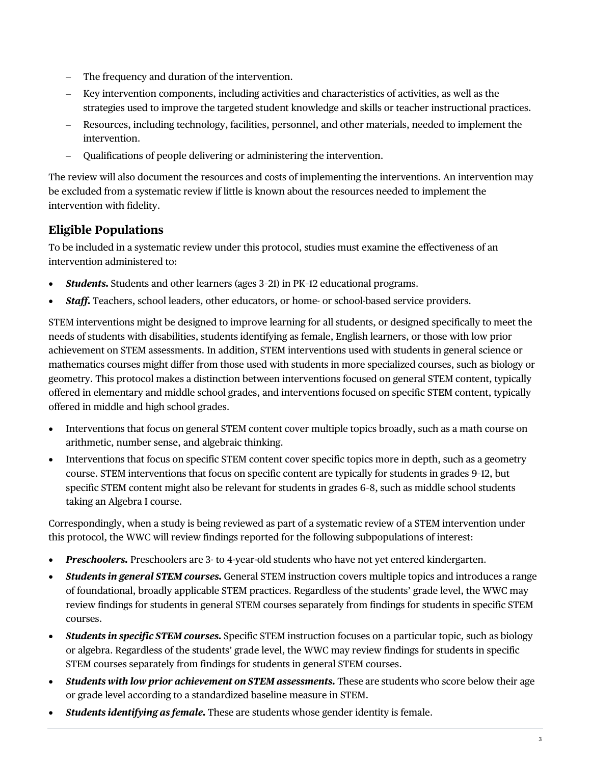- The frequency and duration of the intervention.
- Key intervention components, including activities and characteristics of activities, as well as the strategies used to improve the targeted student knowledge and skills or teacher instructional practices.
- Resources, including technology, facilities, personnel, and other materials, needed to implement the intervention.
- Qualifications of people delivering or administering the intervention.

The review will also document the resources and costs of implementing the interventions. An intervention may be excluded from a systematic review if little is known about the resources needed to implement the intervention with fidelity.

#### **Eligible Populations**

To be included in a systematic review under this protocol, studies must examine the effectiveness of an intervention administered to:

- *Students.* Students and other learners (ages 3–21) in PK–12 educational programs.
- *Staff.* Teachers, school leaders, other educators, or home- or school-based service providers.

STEM interventions might be designed to improve learning for all students, or designed specifically to meet the needs of students with disabilities, students identifying as female, English learners, or those with low prior achievement on STEM assessments. In addition, STEM interventions used with students in general science or mathematics courses might differ from those used with students in more specialized courses, such as biology or geometry. This protocol makes a distinction between interventions focused on general STEM content, typically offered in elementary and middle school grades, and interventions focused on specific STEM content, typically offered in middle and high school grades.

- Interventions that focus on general STEM content cover multiple topics broadly, such as a math course on arithmetic, number sense, and algebraic thinking.
- Interventions that focus on specific STEM content cover specific topics more in depth, such as a geometry course. STEM interventions that focus on specific content are typically for students in grades 9–12, but specific STEM content might also be relevant for students in grades 6–8, such as middle school students taking an Algebra I course.

Correspondingly, when a study is being reviewed as part of a systematic review of a STEM intervention under this protocol, the WWC will review findings reported for the following subpopulations of interest:

- *Preschoolers.* Preschoolers are 3- to 4-year-old students who have not yet entered kindergarten.
- *Students in general STEM courses.* General STEM instruction covers multiple topics and introduces a range of foundational, broadly applicable STEM practices. Regardless of the students' grade level, the WWC may review findings for students in general STEM courses separately from findings for students in specific STEM courses.
- *Students in specific STEM courses.* Specific STEM instruction focuses on a particular topic, such as biology or algebra. Regardless of the students' grade level, the WWC may review findings for students in specific STEM courses separately from findings for students in general STEM courses.
- *Students with low prior achievement on STEM assessments.* These are students who score below their age or grade level according to a standardized baseline measure in STEM.
- *Students identifying as female.* These are students whose gender identity is female.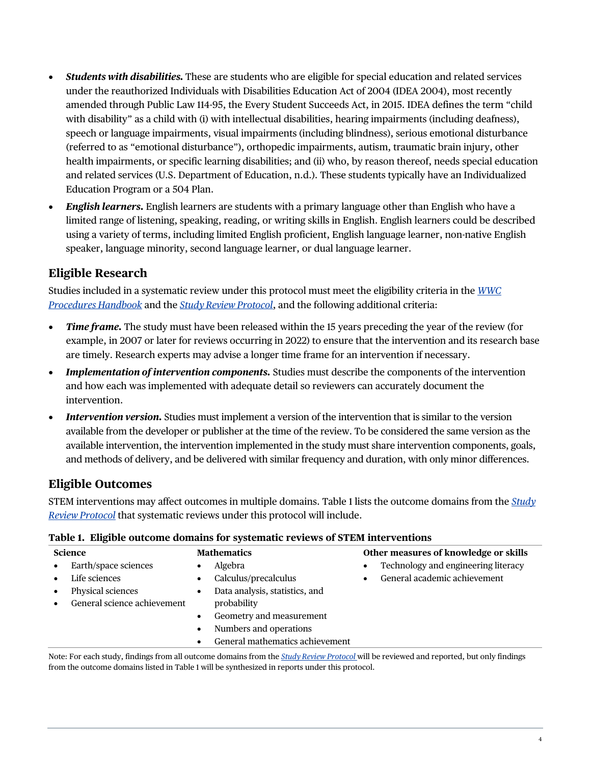- *Students with disabilities.* These are students who are eligible for special education and related services under the reauthorized Individuals with Disabilities Education Act of 2004 (IDEA 2004), most recently amended through Public Law 114-95, the Every Student Succeeds Act, in 2015. IDEA defines the term "child with disability" as a child with (i) with intellectual disabilities, hearing impairments (including deafness), speech or language impairments, visual impairments (including blindness), serious emotional disturbance (referred to as "emotional disturbance"), orthopedic impairments, autism, traumatic brain injury, other health impairments, or specific learning disabilities; and (ii) who, by reason thereof, needs special education and related services (U.S. Department of Education, n.d.). These students typically have an Individualized Education Program or a 504 Plan.
- *English learners.* English learners are students with a primary language other than English who have a limited range of listening, speaking, reading, or writing skills in English. English learners could be described using a variety of terms, including limited English proficient, English language learner, non-native English speaker, language minority, second language learner, or dual language learner.

## **Eligible Research**

Studies included in a systematic review under this protocol must meet the eligibility criteria in the *[WWC](https://ies.ed.gov/ncee/wwc/Handbooks)  [Procedures Handbook](https://ies.ed.gov/ncee/wwc/Handbooks)* and the *[Study Review Protocol](https://ies.ed.gov/ncee/wwc/Document/1297)*, and the following additional criteria:

- *Time frame.* The study must have been released within the 15 years preceding the year of the review (for example, in 2007 or later for reviews occurring in 2022) to ensure that the intervention and its research base are timely. Research experts may advise a longer time frame for an intervention if necessary.
- *Implementation of intervention components.* Studies must describe the components of the intervention and how each was implemented with adequate detail so reviewers can accurately document the intervention.
- *Intervention version.* Studies must implement a version of the intervention that is similar to the version available from the developer or publisher at the time of the review. To be considered the same version as the available intervention, the intervention implemented in the study must share intervention components, goals, and methods of delivery, and be delivered with similar frequency and duration, with only minor differences.

#### **Eligible Outcomes**

STEM interventions may affect outcomes in multiple domains. Table 1 lists the outcome domains from the *[Study](https://ies.ed.gov/ncee/wwc/Document/1297)  [Review Protocol](https://ies.ed.gov/ncee/wwc/Document/1297)* that systematic reviews under this protocol will include.

| Tuble to Englishe outcome gomanic for systematic reviews of stand meet vehiclons |                             |                    |                                 |                                       |                                     |  |  |
|----------------------------------------------------------------------------------|-----------------------------|--------------------|---------------------------------|---------------------------------------|-------------------------------------|--|--|
| <b>Science</b>                                                                   |                             | <b>Mathematics</b> |                                 | Other measures of knowledge or skills |                                     |  |  |
| $\bullet$                                                                        | Earth/space sciences        |                    | Algebra                         | $\bullet$                             | Technology and engineering literacy |  |  |
|                                                                                  | Life sciences               |                    | Calculus/precalculus            |                                       | General academic achievement        |  |  |
|                                                                                  | Physical sciences           |                    | Data analysis, statistics, and  |                                       |                                     |  |  |
|                                                                                  | General science achievement |                    | probability                     |                                       |                                     |  |  |
|                                                                                  |                             |                    | Geometry and measurement        |                                       |                                     |  |  |
|                                                                                  |                             |                    | Numbers and operations          |                                       |                                     |  |  |
|                                                                                  |                             |                    | General mathematics achievement |                                       |                                     |  |  |

#### **Table 1. Eligible outcome domains for systematic reviews of STEM interventions**

Note: For each study, findings from all outcome domains from the *[Study Review Protocol](https://ies.ed.gov/ncee/wwc/Document/1297)* will be reviewed and reported, but only findings from the outcome domains listed in Table 1 will be synthesized in reports under this protocol.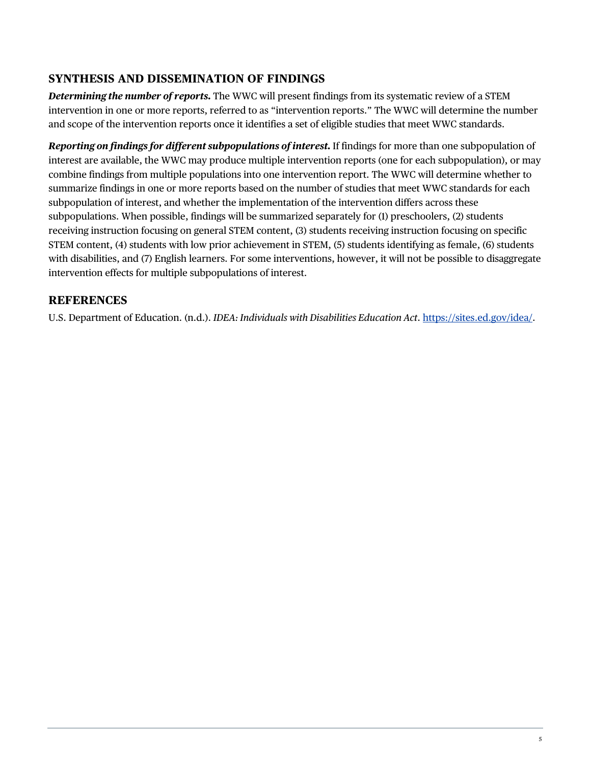#### **SYNTHESIS AND DISSEMINATION OF FINDINGS**

*Determining the number of reports.* The WWC will present findings from its systematic review of a STEM intervention in one or more reports, referred to as "intervention reports." The WWC will determine the number and scope of the intervention reports once it identifies a set of eligible studies that meet WWC standards.

*Reporting on findings for different subpopulations of interest.* If findings for more than one subpopulation of interest are available, the WWC may produce multiple intervention reports (one for each subpopulation), or may combine findings from multiple populations into one intervention report. The WWC will determine whether to summarize findings in one or more reports based on the number of studies that meet WWC standards for each subpopulation of interest, and whether the implementation of the intervention differs across these subpopulations. When possible, findings will be summarized separately for (1) preschoolers, (2) students receiving instruction focusing on general STEM content, (3) students receiving instruction focusing on specific STEM content, (4) students with low prior achievement in STEM, (5) students identifying as female, (6) students with disabilities, and (7) English learners. For some interventions, however, it will not be possible to disaggregate intervention effects for multiple subpopulations of interest.

#### **REFERENCES**

U.S. Department of Education. (n.d.). *IDEA: Individuals with Disabilities Education Act*. [https://sites.ed.gov/idea/.](https://sites.ed.gov/idea/)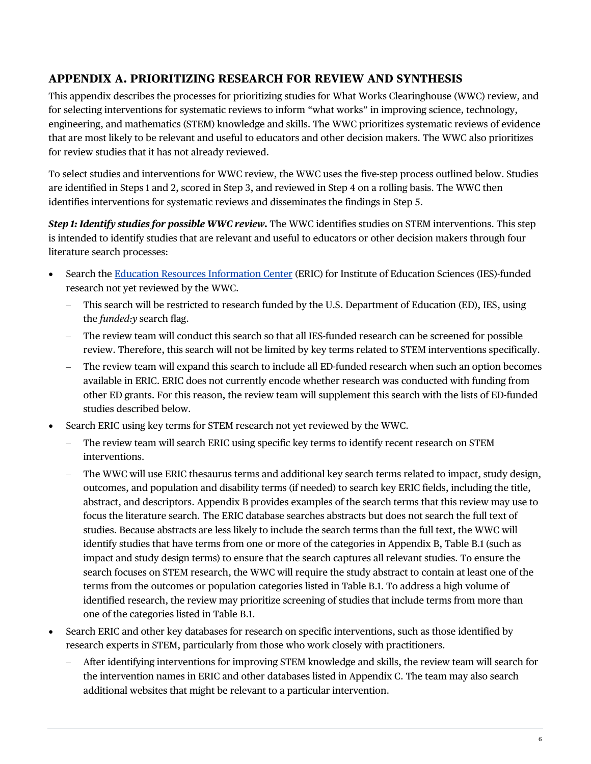#### **APPENDIX A. PRIORITIZING RESEARCH FOR REVIEW AND SYNTHESIS**

This appendix describes the processes for prioritizing studies for What Works Clearinghouse (WWC) review, and for selecting interventions for systematic reviews to inform "what works" in improving science, technology, engineering, and mathematics (STEM) knowledge and skills. The WWC prioritizes systematic reviews of evidence that are most likely to be relevant and useful to educators and other decision makers. The WWC also prioritizes for review studies that it has not already reviewed.

To select studies and interventions for WWC review, the WWC uses the five-step process outlined below. Studies are identified in Steps 1 and 2, scored in Step 3, and reviewed in Step 4 on a rolling basis. The WWC then identifies interventions for systematic reviews and disseminates the findings in Step 5.

*Step 1: Identify studies for possible WWC review.* The WWC identifies studies on STEM interventions. This step is intended to identify studies that are relevant and useful to educators or other decision makers through four literature search processes:

- Search th[e Education Resources Information Center \(](https://eric.ed.gov/?)ERIC) for Institute of Education Sciences (IES)-funded research not yet reviewed by the WWC.
	- This search will be restricted to research funded by the U.S. Department of Education (ED), IES, using the *funded:y* search flag.
	- The review team will conduct this search so that all IES-funded research can be screened for possible review. Therefore, this search will not be limited by key terms related to STEM interventions specifically.
	- The review team will expand this search to include all ED-funded research when such an option becomes available in ERIC. ERIC does not currently encode whether research was conducted with funding from other ED grants. For this reason, the review team will supplement this search with the lists of ED-funded studies described below.
- Search ERIC using key terms for STEM research not yet reviewed by the WWC.
	- The review team will search ERIC using specific key terms to identify recent research on STEM interventions.
	- The WWC will use ERIC thesaurus terms and additional key search terms related to impact, study design, outcomes, and population and disability terms (if needed) to search key ERIC fields, including the title, abstract, and descriptors. Appendix B provides examples of the search terms that this review may use to focus the literature search. The ERIC database searches abstracts but does not search the full text of studies. Because abstracts are less likely to include the search terms than the full text, the WWC will identify studies that have terms from one or more of the categories in Appendix B, Table B.1 (such as impact and study design terms) to ensure that the search captures all relevant studies. To ensure the search focuses on STEM research, the WWC will require the study abstract to contain at least one of the terms from the outcomes or population categories listed in Table B.1. To address a high volume of identified research, the review may prioritize screening of studies that include terms from more than one of the categories listed in Table B.1.
- Search ERIC and other key databases for research on specific interventions, such as those identified by research experts in STEM, particularly from those who work closely with practitioners.
	- After identifying interventions for improving STEM knowledge and skills, the review team will search for the intervention names in ERIC and other databases listed in Appendix C. The team may also search additional websites that might be relevant to a particular intervention.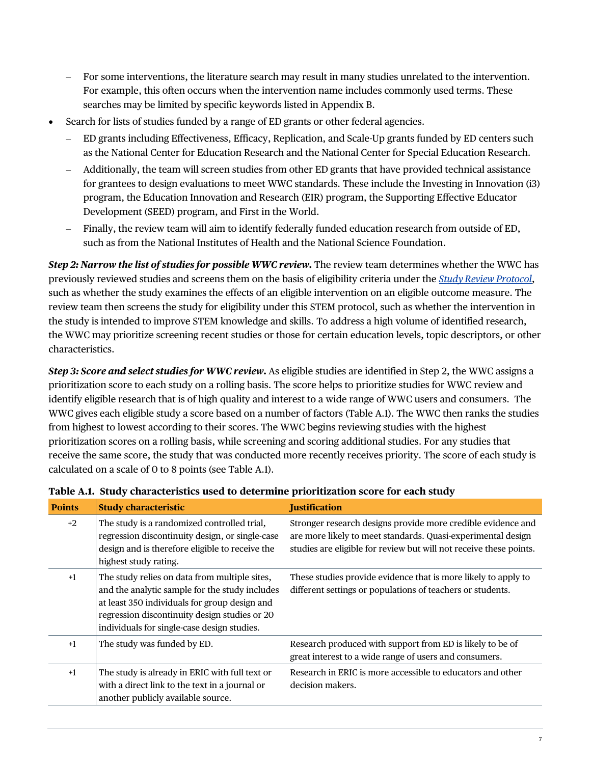- For some interventions, the literature search may result in many studies unrelated to the intervention. For example, this often occurs when the intervention name includes commonly used terms. These searches may be limited by specific keywords listed in Appendix B.
- Search for lists of studies funded by a range of ED grants or other federal agencies.
	- ED grants including Effectiveness, Efficacy, Replication, and Scale-Up grants funded by ED centers such as the National Center for Education Research and the National Center for Special Education Research.
	- Additionally, the team will screen studies from other ED grants that have provided technical assistance for grantees to design evaluations to meet WWC standards. These include the Investing in Innovation (i3) program, the Education Innovation and Research (EIR) program, the Supporting Effective Educator Development (SEED) program, and First in the World.
	- Finally, the review team will aim to identify federally funded education research from outside of ED, such as from the National Institutes of Health and the National Science Foundation.

*Step 2: Narrow the list of studies for possible WWC review.* The review team determines whether the WWC has previously reviewed studies and screens them on the basis of eligibility criteria under the *[Study Review Protocol](https://ies.ed.gov/ncee/wwc/Document/1297)*, such as whether the study examines the effects of an eligible intervention on an eligible outcome measure. The review team then screens the study for eligibility under this STEM protocol, such as whether the intervention in the study is intended to improve STEM knowledge and skills. To address a high volume of identified research, the WWC may prioritize screening recent studies or those for certain education levels, topic descriptors, or other characteristics.

*Step 3: Score and select studies for WWC review.* As eligible studies are identified in Step 2, the WWC assigns a prioritization score to each study on a rolling basis. The score helps to prioritize studies for WWC review and identify eligible research that is of high quality and interest to a wide range of WWC users and consumers. The WWC gives each eligible study a score based on a number of factors (Table A.1). The WWC then ranks the studies from highest to lowest according to their scores. The WWC begins reviewing studies with the highest prioritization scores on a rolling basis, while screening and scoring additional studies. For any studies that receive the same score, the study that was conducted more recently receives priority. The score of each study is calculated on a scale of 0 to 8 points (see Table A.1).

| <b>Points</b> | <b>Study characteristic</b>                                                                                                                                                                                                                      | <b>Justification</b>                                                                                                                                                                               |
|---------------|--------------------------------------------------------------------------------------------------------------------------------------------------------------------------------------------------------------------------------------------------|----------------------------------------------------------------------------------------------------------------------------------------------------------------------------------------------------|
| $+2$          | The study is a randomized controlled trial,<br>regression discontinuity design, or single-case<br>design and is therefore eligible to receive the<br>highest study rating.                                                                       | Stronger research designs provide more credible evidence and<br>are more likely to meet standards. Quasi-experimental design<br>studies are eligible for review but will not receive these points. |
| $+1$          | The study relies on data from multiple sites,<br>and the analytic sample for the study includes<br>at least 350 individuals for group design and<br>regression discontinuity design studies or 20<br>individuals for single-case design studies. | These studies provide evidence that is more likely to apply to<br>different settings or populations of teachers or students.                                                                       |
| $+1$          | The study was funded by ED.                                                                                                                                                                                                                      | Research produced with support from ED is likely to be of<br>great interest to a wide range of users and consumers.                                                                                |
| $+1$          | The study is already in ERIC with full text or<br>with a direct link to the text in a journal or<br>another publicly available source.                                                                                                           | Research in ERIC is more accessible to educators and other<br>decision makers.                                                                                                                     |

#### **Table A.1. Study characteristics used to determine prioritization score for each study**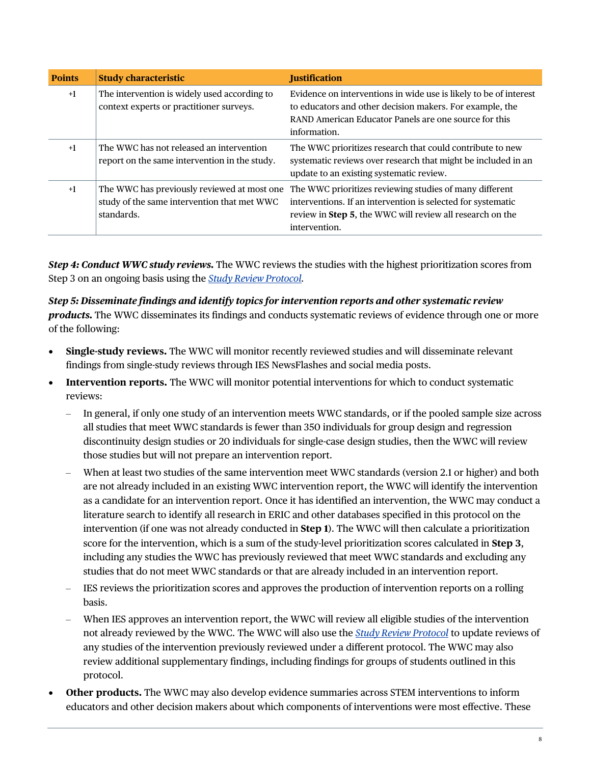| <b>Points</b> | <b>Study characteristic</b>                                                                              | <b>Justification</b>                                                                                                                                                                                   |
|---------------|----------------------------------------------------------------------------------------------------------|--------------------------------------------------------------------------------------------------------------------------------------------------------------------------------------------------------|
| $+1$          | The intervention is widely used according to<br>context experts or practitioner surveys.                 | Evidence on interventions in wide use is likely to be of interest<br>to educators and other decision makers. For example, the<br>RAND American Educator Panels are one source for this<br>information. |
| $+1$          | The WWC has not released an intervention<br>report on the same intervention in the study.                | The WWC prioritizes research that could contribute to new<br>systematic reviews over research that might be included in an<br>update to an existing systematic review.                                 |
| $+1$          | The WWC has previously reviewed at most one<br>study of the same intervention that met WWC<br>standards. | The WWC prioritizes reviewing studies of many different<br>interventions. If an intervention is selected for systematic<br>review in Step 5, the WWC will review all research on the<br>intervention.  |

*Step 4: Conduct WWC study reviews.* The WWC reviews the studies with the highest prioritization scores from Step 3 on an ongoing basis using the *[Study Review Protocol.](https://ies.ed.gov/ncee/wwc/Document/1297)* 

*Step 5: Disseminate findings and identify topics for intervention reports and other systematic review products.* The WWC disseminates its findings and conducts systematic reviews of evidence through one or more of the following:

- **Single-study reviews.** The WWC will monitor recently reviewed studies and will disseminate relevant findings from single-study reviews through IES NewsFlashes and social media posts.
- **Intervention reports.** The WWC will monitor potential interventions for which to conduct systematic reviews:
	- In general, if only one study of an intervention meets WWC standards, or if the pooled sample size across all studies that meet WWC standards is fewer than 350 individuals for group design and regression discontinuity design studies or 20 individuals for single-case design studies, then the WWC will review those studies but will not prepare an intervention report.
	- When at least two studies of the same intervention meet WWC standards (version 2.1 or higher) and both are not already included in an existing WWC intervention report, the WWC will identify the intervention as a candidate for an intervention report. Once it has identified an intervention, the WWC may conduct a literature search to identify all research in ERIC and other databases specified in this protocol on the intervention (if one was not already conducted in **Step 1**). The WWC will then calculate a prioritization score for the intervention, which is a sum of the study-level prioritization scores calculated in **Step 3**, including any studies the WWC has previously reviewed that meet WWC standards and excluding any studies that do not meet WWC standards or that are already included in an intervention report.
	- IES reviews the prioritization scores and approves the production of intervention reports on a rolling basis.
	- When IES approves an intervention report, the WWC will review all eligible studies of the intervention not already reviewed by the WWC. The WWC will also use the *[Study Review Protocol](https://ies.ed.gov/ncee/wwc/Document/1297)* to update reviews of any studies of the intervention previously reviewed under a different protocol. The WWC may also review additional supplementary findings, including findings for groups of students outlined in this protocol.
- **Other products.** The WWC may also develop evidence summaries across STEM interventions to inform educators and other decision makers about which components of interventions were most effective. These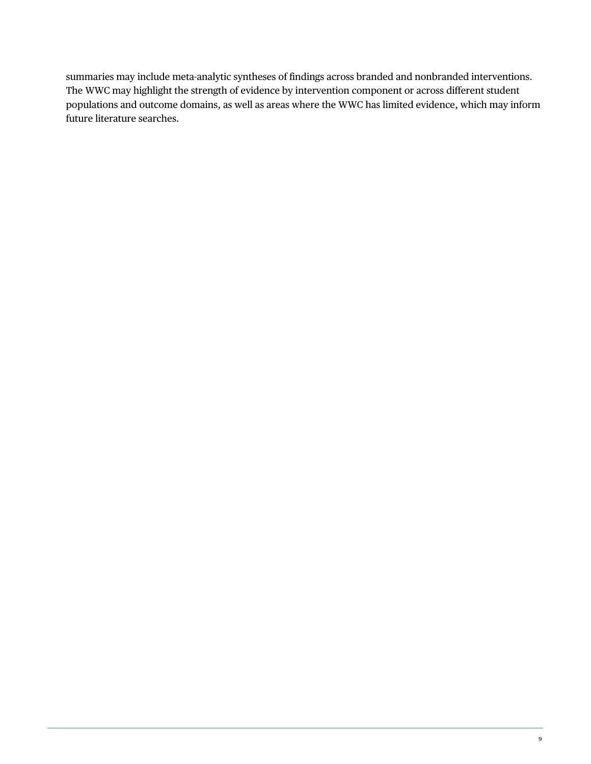summaries may include meta-analytic syntheses of findings across branded and nonbranded interventions. The WWC may highlight the strength of evidence by intervention component or across different student populations and outcome domains, as well as areas where the WWC has limited evidence, which may inform future literature searches.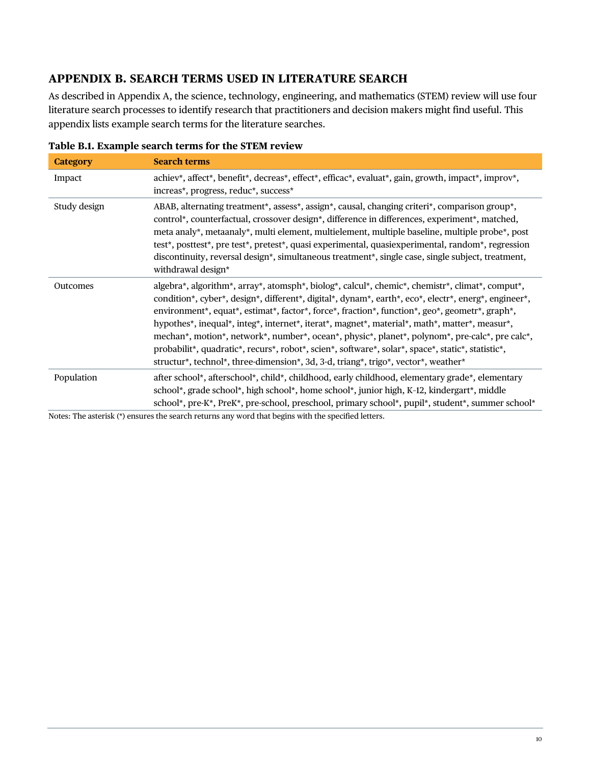#### **APPENDIX B. SEARCH TERMS USED IN LITERATURE SEARCH**

As described in Appendix A, the science, technology, engineering, and mathematics (STEM) review will use four literature search processes to identify research that practitioners and decision makers might find useful. This appendix lists example search terms for the literature searches.

| <b>Category</b> | <b>Search terms</b>                                                                                                                                                                                                                                                                                                                                                                                                                                                                                                                                                                                                                                                                                     |
|-----------------|---------------------------------------------------------------------------------------------------------------------------------------------------------------------------------------------------------------------------------------------------------------------------------------------------------------------------------------------------------------------------------------------------------------------------------------------------------------------------------------------------------------------------------------------------------------------------------------------------------------------------------------------------------------------------------------------------------|
| Impact          | achiev*, affect*, benefit*, decreas*, effect*, efficac*, evaluat*, gain, growth, impact*, improv*,<br>increas*, progress, reduc*, success*                                                                                                                                                                                                                                                                                                                                                                                                                                                                                                                                                              |
| Study design    | ABAB, alternating treatment*, assess*, assign*, causal, changing criteri*, comparison group*,<br>control*, counterfactual, crossover design*, difference in differences, experiment*, matched,<br>meta analy*, metaanaly*, multi element, multielement, multiple baseline, multiple probe*, post<br>test*, posttest*, pre test*, pretest*, quasi experimental, quasiexperimental, random*, regression<br>discontinuity, reversal design*, simultaneous treatment*, single case, single subject, treatment,<br>withdrawal design*                                                                                                                                                                        |
| Outcomes        | algebra*, algorithm*, array*, atomsph*, biolog*, calcul*, chemic*, chemistr*, climat*, comput*,<br>condition*, cyber*, design*, different*, digital*, dynam*, earth*, eco*, electr*, energ*, engineer*,<br>environment*, equat*, estimat*, factor*, force*, fraction*, function*, geo*, geometr*, graph*,<br>hypothes*, inequal*, integ*, internet*, iterat*, magnet*, material*, math*, matter*, measur*,<br>mechan*, motion*, network*, number*, ocean*, physic*, planet*, polynom*, pre-calc*, pre calc*,<br>probabilit*, quadratic*, recurs*, robot*, scien*, software*, solar*, space*, static*, statistic*,<br>structur*, technol*, three-dimension*, 3d, 3-d, triang*, trigo*, vector*, weather* |
| Population      | after school*, afterschool*, child*, childhood, early childhood, elementary grade*, elementary<br>school*, grade school*, high school*, home school*, junior high, K-12, kindergart*, middle<br>school*, pre-K*, PreK*, pre-school, preschool, primary school*, pupil*, student*, summer school*                                                                                                                                                                                                                                                                                                                                                                                                        |

|  | Table B.1. Example search terms for the STEM review |  |  |  |  |  |  |
|--|-----------------------------------------------------|--|--|--|--|--|--|
|--|-----------------------------------------------------|--|--|--|--|--|--|

Notes: The asterisk (\*) ensures the search returns any word that begins with the specified letters.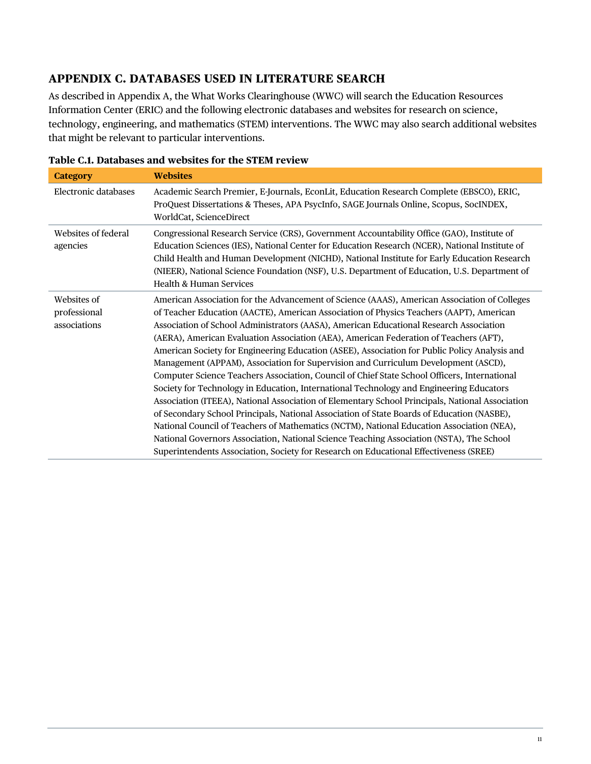#### **APPENDIX C. DATABASES USED IN LITERATURE SEARCH**

As described in Appendix A, the What Works Clearinghouse (WWC) will search the Education Resources Information Center (ERIC) and the following electronic databases and websites for research on science, technology, engineering, and mathematics (STEM) interventions. The WWC may also search additional websites that might be relevant to particular interventions.

| <b>Category</b>                             | <b>Websites</b>                                                                                                                                                                                                                                                                                                                                                                                                                                                                                                                                                                                                                                                                                                                                                                                                                                                                                                                                                                                                                                                                                                                                                                                                                                 |
|---------------------------------------------|-------------------------------------------------------------------------------------------------------------------------------------------------------------------------------------------------------------------------------------------------------------------------------------------------------------------------------------------------------------------------------------------------------------------------------------------------------------------------------------------------------------------------------------------------------------------------------------------------------------------------------------------------------------------------------------------------------------------------------------------------------------------------------------------------------------------------------------------------------------------------------------------------------------------------------------------------------------------------------------------------------------------------------------------------------------------------------------------------------------------------------------------------------------------------------------------------------------------------------------------------|
| Electronic databases                        | Academic Search Premier, E-Journals, EconLit, Education Research Complete (EBSCO), ERIC,<br>ProQuest Dissertations & Theses, APA PsycInfo, SAGE Journals Online, Scopus, SocINDEX,<br>WorldCat, ScienceDirect                                                                                                                                                                                                                                                                                                                                                                                                                                                                                                                                                                                                                                                                                                                                                                                                                                                                                                                                                                                                                                   |
| Websites of federal<br>agencies             | Congressional Research Service (CRS), Government Accountability Office (GAO), Institute of<br>Education Sciences (IES), National Center for Education Research (NCER), National Institute of<br>Child Health and Human Development (NICHD), National Institute for Early Education Research<br>(NIEER), National Science Foundation (NSF), U.S. Department of Education, U.S. Department of<br>Health & Human Services                                                                                                                                                                                                                                                                                                                                                                                                                                                                                                                                                                                                                                                                                                                                                                                                                          |
| Websites of<br>professional<br>associations | American Association for the Advancement of Science (AAAS), American Association of Colleges<br>of Teacher Education (AACTE), American Association of Physics Teachers (AAPT), American<br>Association of School Administrators (AASA), American Educational Research Association<br>(AERA), American Evaluation Association (AEA), American Federation of Teachers (AFT),<br>American Society for Engineering Education (ASEE), Association for Public Policy Analysis and<br>Management (APPAM), Association for Supervision and Curriculum Development (ASCD),<br>Computer Science Teachers Association, Council of Chief State School Officers, International<br>Society for Technology in Education, International Technology and Engineering Educators<br>Association (ITEEA), National Association of Elementary School Principals, National Association<br>of Secondary School Principals, National Association of State Boards of Education (NASBE),<br>National Council of Teachers of Mathematics (NCTM), National Education Association (NEA),<br>National Governors Association, National Science Teaching Association (NSTA), The School<br>Superintendents Association, Society for Research on Educational Effectiveness (SREE) |